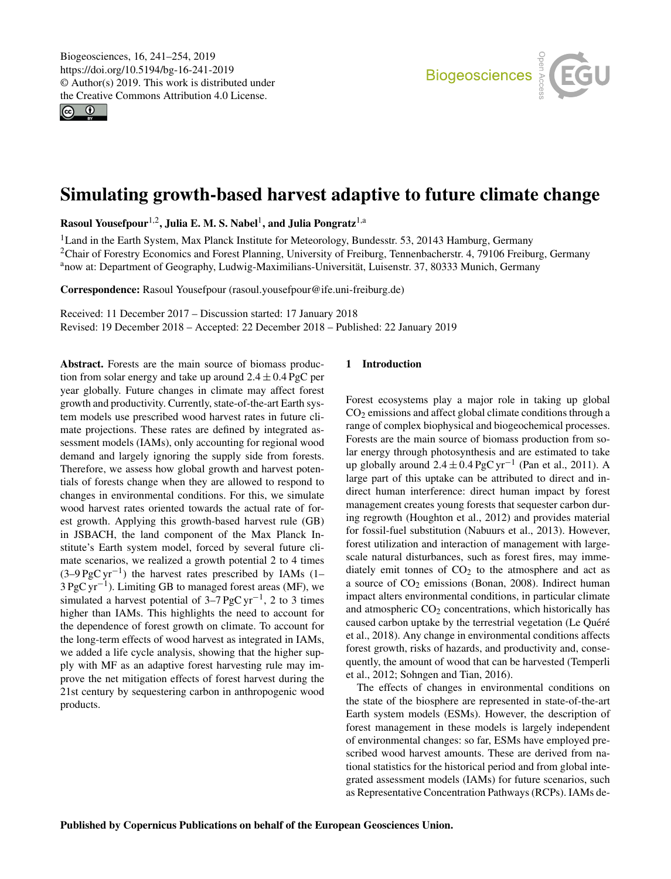<span id="page-0-1"></span> $\circledcirc$ 

# Simulating growth-based harvest adaptive to future climate change

Rasoul Yousefpour<sup>[1,2](#page-0-0)</sup>, Julia E. M. S. Nabel<sup>[1](#page-0-0)</sup>, and Julia Pongratz<sup>[1,a](#page-0-0)</sup>

<sup>1</sup> Land in the Earth System, Max Planck Institute for Meteorology, Bundesstr. 53, 20143 Hamburg, Germany <sup>2</sup>Chair of Forestry Economics and Forest Planning, University of Freiburg, Tennenbacherstr. 4, 79106 Freiburg, Germany anow at: Department of Geography, Ludwig-Maximilians-Universität, Luisenstr. 37, 80333 Munich, Germany

Correspondence: Rasoul Yousefpour (rasoul.yousefpour@ife.uni-freiburg.de)

Received: 11 December 2017 – Discussion started: 17 January 2018 Revised: 19 December 2018 – Accepted: 22 December 2018 – Published: 22 January 2019

<span id="page-0-0"></span>Abstract. Forests are the main source of biomass production from solar energy and take up around  $2.4 \pm 0.4$  PgC per year globally. Future changes in climate may affect forest growth and productivity. Currently, state-of-the-art Earth system models use prescribed wood harvest rates in future climate projections. These rates are defined by integrated assessment models (IAMs), only accounting for regional wood demand and largely ignoring the supply side from forests. Therefore, we assess how global growth and harvest potentials of forests change when they are allowed to respond to changes in environmental conditions. For this, we simulate wood harvest rates oriented towards the actual rate of forest growth. Applying this growth-based harvest rule (GB) in JSBACH, the land component of the Max Planck Institute's Earth system model, forced by several future climate scenarios, we realized a growth potential 2 to 4 times (3–9 PgC yr−<sup>1</sup> ) the harvest rates prescribed by IAMs (1– 3 PgC yr<sup>-1</sup>). Limiting GB to managed forest areas (MF), we simulated a harvest potential of  $3-7$  PgC yr<sup>-1</sup>, 2 to 3 times higher than IAMs. This highlights the need to account for the dependence of forest growth on climate. To account for the long-term effects of wood harvest as integrated in IAMs, we added a life cycle analysis, showing that the higher supply with MF as an adaptive forest harvesting rule may improve the net mitigation effects of forest harvest during the 21st century by sequestering carbon in anthropogenic wood products.

## 1 Introduction

Forest ecosystems play a major role in taking up global CO<sup>2</sup> emissions and affect global climate conditions through a range of complex biophysical and biogeochemical processes. Forests are the main source of biomass production from solar energy through photosynthesis and are estimated to take up globally around  $2.4 \pm 0.4$  PgC yr<sup>-1</sup> (Pan et al., 2011). A large part of this uptake can be attributed to direct and indirect human interference: direct human impact by forest management creates young forests that sequester carbon during regrowth (Houghton et al., 2012) and provides material for fossil-fuel substitution (Nabuurs et al., 2013). However, forest utilization and interaction of management with largescale natural disturbances, such as forest fires, may immediately emit tonnes of  $CO<sub>2</sub>$  to the atmosphere and act as a source of  $CO<sub>2</sub>$  emissions (Bonan, 2008). Indirect human impact alters environmental conditions, in particular climate and atmospheric  $CO<sub>2</sub>$  concentrations, which historically has caused carbon uptake by the terrestrial vegetation (Le Quéré et al., 2018). Any change in environmental conditions affects forest growth, risks of hazards, and productivity and, consequently, the amount of wood that can be harvested (Temperli et al., 2012; Sohngen and Tian, 2016).

The effects of changes in environmental conditions on the state of the biosphere are represented in state-of-the-art Earth system models (ESMs). However, the description of forest management in these models is largely independent of environmental changes: so far, ESMs have employed prescribed wood harvest amounts. These are derived from national statistics for the historical period and from global integrated assessment models (IAMs) for future scenarios, such as Representative Concentration Pathways (RCPs). IAMs de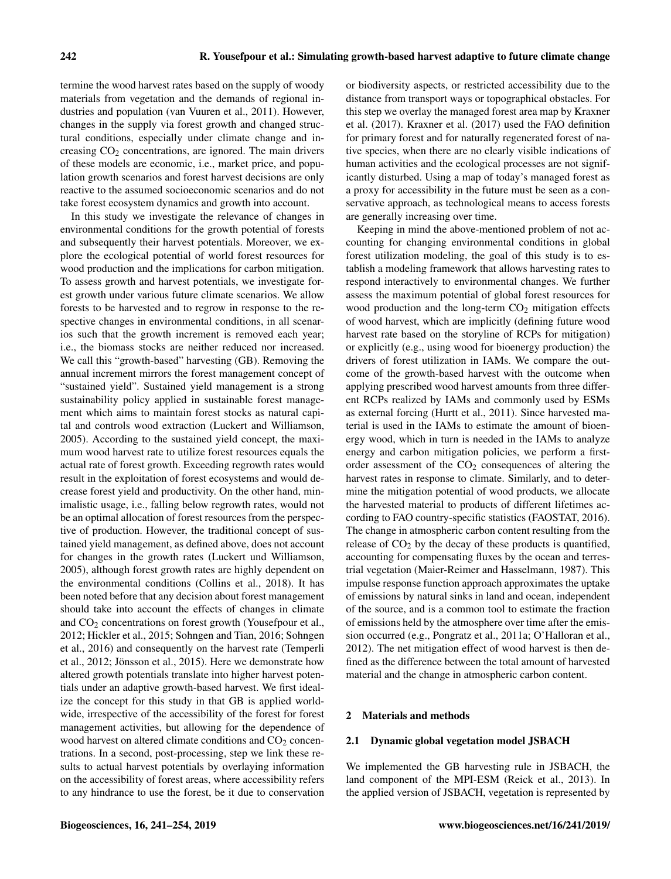termine the wood harvest rates based on the supply of woody materials from vegetation and the demands of regional industries and population (van Vuuren et al., 2011). However, changes in the supply via forest growth and changed structural conditions, especially under climate change and increasing CO<sub>2</sub> concentrations, are ignored. The main drivers of these models are economic, i.e., market price, and population growth scenarios and forest harvest decisions are only reactive to the assumed socioeconomic scenarios and do not take forest ecosystem dynamics and growth into account.

In this study we investigate the relevance of changes in environmental conditions for the growth potential of forests and subsequently their harvest potentials. Moreover, we explore the ecological potential of world forest resources for wood production and the implications for carbon mitigation. To assess growth and harvest potentials, we investigate forest growth under various future climate scenarios. We allow forests to be harvested and to regrow in response to the respective changes in environmental conditions, in all scenarios such that the growth increment is removed each year; i.e., the biomass stocks are neither reduced nor increased. We call this "growth-based" harvesting (GB). Removing the annual increment mirrors the forest management concept of "sustained yield". Sustained yield management is a strong sustainability policy applied in sustainable forest management which aims to maintain forest stocks as natural capital and controls wood extraction (Luckert and Williamson, 2005). According to the sustained yield concept, the maximum wood harvest rate to utilize forest resources equals the actual rate of forest growth. Exceeding regrowth rates would result in the exploitation of forest ecosystems and would decrease forest yield and productivity. On the other hand, minimalistic usage, i.e., falling below regrowth rates, would not be an optimal allocation of forest resources from the perspective of production. However, the traditional concept of sustained yield management, as defined above, does not account for changes in the growth rates (Luckert und Williamson, 2005), although forest growth rates are highly dependent on the environmental conditions (Collins et al., 2018). It has been noted before that any decision about forest management should take into account the effects of changes in climate and CO<sub>2</sub> concentrations on forest growth (Yousefpour et al., 2012; Hickler et al., 2015; Sohngen and Tian, 2016; Sohngen et al., 2016) and consequently on the harvest rate (Temperli et al., 2012; Jönsson et al., 2015). Here we demonstrate how altered growth potentials translate into higher harvest potentials under an adaptive growth-based harvest. We first idealize the concept for this study in that GB is applied worldwide, irrespective of the accessibility of the forest for forest management activities, but allowing for the dependence of wood harvest on altered climate conditions and  $CO<sub>2</sub>$  concentrations. In a second, post-processing, step we link these results to actual harvest potentials by overlaying information on the accessibility of forest areas, where accessibility refers to any hindrance to use the forest, be it due to conservation or biodiversity aspects, or restricted accessibility due to the distance from transport ways or topographical obstacles. For this step we overlay the managed forest area map by Kraxner et al. (2017). Kraxner et al. (2017) used the FAO definition for primary forest and for naturally regenerated forest of native species, when there are no clearly visible indications of human activities and the ecological processes are not significantly disturbed. Using a map of today's managed forest as a proxy for accessibility in the future must be seen as a conservative approach, as technological means to access forests are generally increasing over time.

Keeping in mind the above-mentioned problem of not accounting for changing environmental conditions in global forest utilization modeling, the goal of this study is to establish a modeling framework that allows harvesting rates to respond interactively to environmental changes. We further assess the maximum potential of global forest resources for wood production and the long-term  $CO<sub>2</sub>$  mitigation effects of wood harvest, which are implicitly (defining future wood harvest rate based on the storyline of RCPs for mitigation) or explicitly (e.g., using wood for bioenergy production) the drivers of forest utilization in IAMs. We compare the outcome of the growth-based harvest with the outcome when applying prescribed wood harvest amounts from three different RCPs realized by IAMs and commonly used by ESMs as external forcing (Hurtt et al., 2011). Since harvested material is used in the IAMs to estimate the amount of bioenergy wood, which in turn is needed in the IAMs to analyze energy and carbon mitigation policies, we perform a firstorder assessment of the  $CO<sub>2</sub>$  consequences of altering the harvest rates in response to climate. Similarly, and to determine the mitigation potential of wood products, we allocate the harvested material to products of different lifetimes according to FAO country-specific statistics (FAOSTAT, 2016). The change in atmospheric carbon content resulting from the release of  $CO<sub>2</sub>$  by the decay of these products is quantified, accounting for compensating fluxes by the ocean and terrestrial vegetation (Maier-Reimer and Hasselmann, 1987). This impulse response function approach approximates the uptake of emissions by natural sinks in land and ocean, independent of the source, and is a common tool to estimate the fraction of emissions held by the atmosphere over time after the emission occurred (e.g., Pongratz et al., 2011a; O'Halloran et al., 2012). The net mitigation effect of wood harvest is then defined as the difference between the total amount of harvested material and the change in atmospheric carbon content.

#### 2 Materials and methods

#### 2.1 Dynamic global vegetation model JSBACH

We implemented the GB harvesting rule in JSBACH, the land component of the MPI-ESM (Reick et al., 2013). In the applied version of JSBACH, vegetation is represented by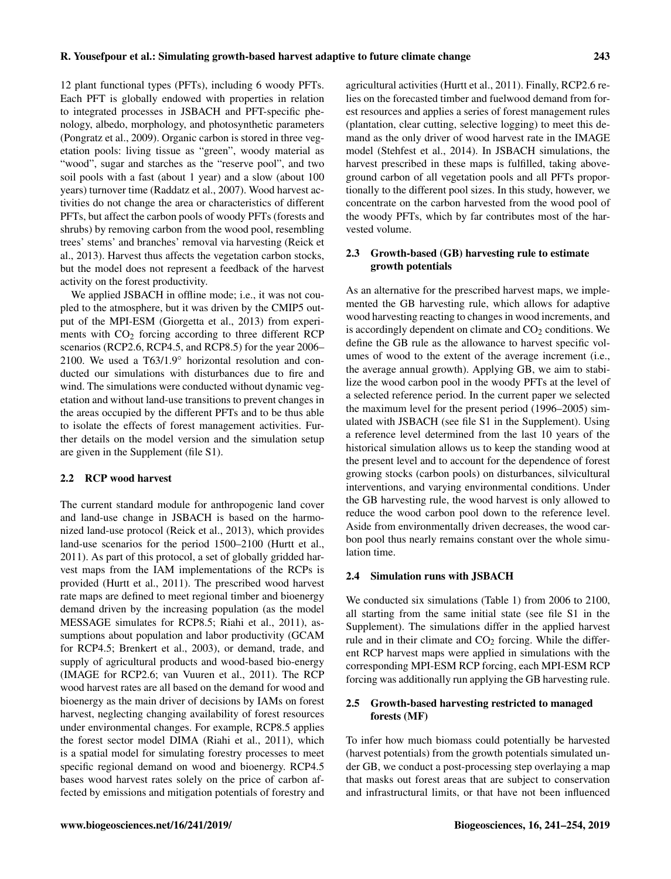12 plant functional types (PFTs), including 6 woody PFTs. Each PFT is globally endowed with properties in relation to integrated processes in JSBACH and PFT-specific phenology, albedo, morphology, and photosynthetic parameters (Pongratz et al., 2009). Organic carbon is stored in three vegetation pools: living tissue as "green", woody material as "wood", sugar and starches as the "reserve pool", and two soil pools with a fast (about 1 year) and a slow (about 100 years) turnover time (Raddatz et al., 2007). Wood harvest activities do not change the area or characteristics of different PFTs, but affect the carbon pools of woody PFTs (forests and shrubs) by removing carbon from the wood pool, resembling trees' stems' and branches' removal via harvesting (Reick et al., 2013). Harvest thus affects the vegetation carbon stocks, but the model does not represent a feedback of the harvest activity on the forest productivity.

We applied JSBACH in offline mode; i.e., it was not coupled to the atmosphere, but it was driven by the CMIP5 output of the MPI-ESM (Giorgetta et al., 2013) from experiments with  $CO<sub>2</sub>$  forcing according to three different RCP scenarios (RCP2.6, RCP4.5, and RCP8.5) for the year 2006– 2100. We used a T63/1.9◦ horizontal resolution and conducted our simulations with disturbances due to fire and wind. The simulations were conducted without dynamic vegetation and without land-use transitions to prevent changes in the areas occupied by the different PFTs and to be thus able to isolate the effects of forest management activities. Further details on the model version and the simulation setup are given in the Supplement (file S1).

## 2.2 RCP wood harvest

The current standard module for anthropogenic land cover and land-use change in JSBACH is based on the harmonized land-use protocol (Reick et al., 2013), which provides land-use scenarios for the period 1500–2100 (Hurtt et al., 2011). As part of this protocol, a set of globally gridded harvest maps from the IAM implementations of the RCPs is provided (Hurtt et al., 2011). The prescribed wood harvest rate maps are defined to meet regional timber and bioenergy demand driven by the increasing population (as the model MESSAGE simulates for RCP8.5; Riahi et al., 2011), assumptions about population and labor productivity (GCAM for RCP4.5; Brenkert et al., 2003), or demand, trade, and supply of agricultural products and wood-based bio-energy (IMAGE for RCP2.6; van Vuuren et al., 2011). The RCP wood harvest rates are all based on the demand for wood and bioenergy as the main driver of decisions by IAMs on forest harvest, neglecting changing availability of forest resources under environmental changes. For example, RCP8.5 applies the forest sector model DIMA (Riahi et al., 2011), which is a spatial model for simulating forestry processes to meet specific regional demand on wood and bioenergy. RCP4.5 bases wood harvest rates solely on the price of carbon affected by emissions and mitigation potentials of forestry and

agricultural activities (Hurtt et al., 2011). Finally, RCP2.6 relies on the forecasted timber and fuelwood demand from forest resources and applies a series of forest management rules (plantation, clear cutting, selective logging) to meet this demand as the only driver of wood harvest rate in the IMAGE model (Stehfest et al., 2014). In JSBACH simulations, the harvest prescribed in these maps is fulfilled, taking aboveground carbon of all vegetation pools and all PFTs proportionally to the different pool sizes. In this study, however, we concentrate on the carbon harvested from the wood pool of the woody PFTs, which by far contributes most of the harvested volume.

# 2.3 Growth-based (GB) harvesting rule to estimate growth potentials

As an alternative for the prescribed harvest maps, we implemented the GB harvesting rule, which allows for adaptive wood harvesting reacting to changes in wood increments, and is accordingly dependent on climate and  $CO<sub>2</sub>$  conditions. We define the GB rule as the allowance to harvest specific volumes of wood to the extent of the average increment (i.e., the average annual growth). Applying GB, we aim to stabilize the wood carbon pool in the woody PFTs at the level of a selected reference period. In the current paper we selected the maximum level for the present period (1996–2005) simulated with JSBACH (see file S1 in the Supplement). Using a reference level determined from the last 10 years of the historical simulation allows us to keep the standing wood at the present level and to account for the dependence of forest growing stocks (carbon pools) on disturbances, silvicultural interventions, and varying environmental conditions. Under the GB harvesting rule, the wood harvest is only allowed to reduce the wood carbon pool down to the reference level. Aside from environmentally driven decreases, the wood carbon pool thus nearly remains constant over the whole simulation time.

## 2.4 Simulation runs with JSBACH

We conducted six simulations (Table 1) from 2006 to 2100, all starting from the same initial state (see file S1 in the Supplement). The simulations differ in the applied harvest rule and in their climate and CO<sub>2</sub> forcing. While the different RCP harvest maps were applied in simulations with the corresponding MPI-ESM RCP forcing, each MPI-ESM RCP forcing was additionally run applying the GB harvesting rule.

# 2.5 Growth-based harvesting restricted to managed forests (MF)

To infer how much biomass could potentially be harvested (harvest potentials) from the growth potentials simulated under GB, we conduct a post-processing step overlaying a map that masks out forest areas that are subject to conservation and infrastructural limits, or that have not been influenced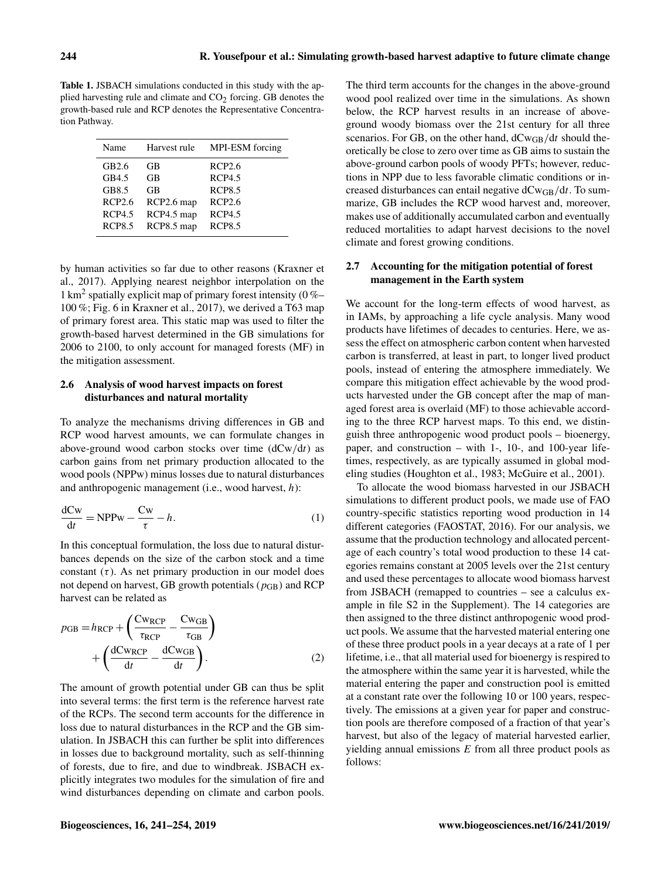Table 1. JSBACH simulations conducted in this study with the applied harvesting rule and climate and  $CO<sub>2</sub>$  forcing. GB denotes the growth-based rule and RCP denotes the Representative Concentration Pathway.

| Name          | Harvest rule | MPI-ESM forcing |
|---------------|--------------|-----------------|
| GB2.6         | GB           | RCP2.6          |
| GB4.5         | <b>GB</b>    | RCP4.5          |
| GB8.5         | GB           | <b>RCP8.5</b>   |
| RCP2.6        | RCP2.6 map   | RCP2.6          |
| RCP4.5        | RCP4.5 map   | RCP4.5          |
| <b>RCP8.5</b> | RCP8.5 map   | <b>RCP8.5</b>   |

by human activities so far due to other reasons (Kraxner et al., 2017). Applying nearest neighbor interpolation on the 1 km<sup>2</sup> spatially explicit map of primary forest intensity (0 %– 100 %; Fig. 6 in Kraxner et al., 2017), we derived a T63 map of primary forest area. This static map was used to filter the growth-based harvest determined in the GB simulations for 2006 to 2100, to only account for managed forests (MF) in the mitigation assessment.

## 2.6 Analysis of wood harvest impacts on forest disturbances and natural mortality

To analyze the mechanisms driving differences in GB and RCP wood harvest amounts, we can formulate changes in above-ground wood carbon stocks over time  $(dCw/dt)$  as carbon gains from net primary production allocated to the wood pools (NPPw) minus losses due to natural disturbances and anthropogenic management (i.e., wood harvest, h):

$$
\frac{dCw}{dt} = NPPw - \frac{Cw}{\tau} - h.
$$
 (1)

In this conceptual formulation, the loss due to natural disturbances depends on the size of the carbon stock and a time constant  $(\tau)$ . As net primary production in our model does not depend on harvest, GB growth potentials ( $p$ <sub>GB</sub>) and RCP harvest can be related as

$$
p_{GB} = h_{RCP} + \left(\frac{C_{W_{RCP}}}{\tau_{RCP}} - \frac{C_{WGB}}{\tau_{GB}}\right) + \left(\frac{dC_{W_{RCP}}}{dt} - \frac{dC_{WGB}}{dt}\right).
$$
 (2)

The amount of growth potential under GB can thus be split into several terms: the first term is the reference harvest rate of the RCPs. The second term accounts for the difference in loss due to natural disturbances in the RCP and the GB simulation. In JSBACH this can further be split into differences in losses due to background mortality, such as self-thinning of forests, due to fire, and due to windbreak. JSBACH explicitly integrates two modules for the simulation of fire and wind disturbances depending on climate and carbon pools.

The third term accounts for the changes in the above-ground wood pool realized over time in the simulations. As shown below, the RCP harvest results in an increase of aboveground woody biomass over the 21st century for all three scenarios. For GB, on the other hand,  $dCw_{GB}/dt$  should theoretically be close to zero over time as GB aims to sustain the above-ground carbon pools of woody PFTs; however, reductions in NPP due to less favorable climatic conditions or increased disturbances can entail negative  $dCw_{GB}/dt$ . To summarize, GB includes the RCP wood harvest and, moreover, makes use of additionally accumulated carbon and eventually reduced mortalities to adapt harvest decisions to the novel climate and forest growing conditions.

# 2.7 Accounting for the mitigation potential of forest management in the Earth system

We account for the long-term effects of wood harvest, as in IAMs, by approaching a life cycle analysis. Many wood products have lifetimes of decades to centuries. Here, we assess the effect on atmospheric carbon content when harvested carbon is transferred, at least in part, to longer lived product pools, instead of entering the atmosphere immediately. We compare this mitigation effect achievable by the wood products harvested under the GB concept after the map of managed forest area is overlaid (MF) to those achievable according to the three RCP harvest maps. To this end, we distinguish three anthropogenic wood product pools – bioenergy, paper, and construction – with 1-, 10-, and 100-year lifetimes, respectively, as are typically assumed in global modeling studies (Houghton et al., 1983; McGuire et al., 2001).

To allocate the wood biomass harvested in our JSBACH simulations to different product pools, we made use of FAO country-specific statistics reporting wood production in 14 different categories (FAOSTAT, 2016). For our analysis, we assume that the production technology and allocated percentage of each country's total wood production to these 14 categories remains constant at 2005 levels over the 21st century and used these percentages to allocate wood biomass harvest from JSBACH (remapped to countries – see a calculus example in file S2 in the Supplement). The 14 categories are then assigned to the three distinct anthropogenic wood product pools. We assume that the harvested material entering one of these three product pools in a year decays at a rate of 1 per lifetime, i.e., that all material used for bioenergy is respired to the atmosphere within the same year it is harvested, while the material entering the paper and construction pool is emitted at a constant rate over the following 10 or 100 years, respectively. The emissions at a given year for paper and construction pools are therefore composed of a fraction of that year's harvest, but also of the legacy of material harvested earlier, yielding annual emissions  $E$  from all three product pools as follows: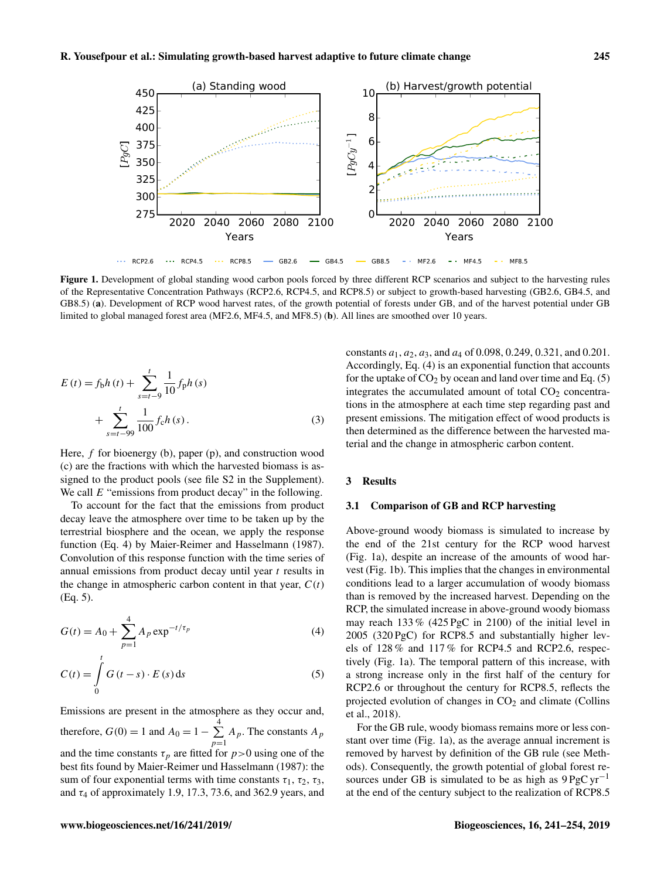

Figure 1. Development of global standing wood carbon pools forced by three different RCP scenarios and subject to the harvesting rules of the Representative Concentration Pathways (RCP2.6, RCP4.5, and RCP8.5) or subject to growth-based harvesting (GB2.6, GB4.5, and GB8.5) (a). Development of RCP wood harvest rates, of the growth potential of forests under GB, and of the harvest potential under GB limited to global managed forest area (MF2.6, MF4.5, and MF8.5) (b). All lines are smoothed over 10 years.

$$
E(t) = f_{\rm b}h(t) + \sum_{s=t-9}^{t} \frac{1}{10} f_{\rm p}h(s)
$$
  
+ 
$$
\sum_{s=t-99}^{t} \frac{1}{100} f_{\rm c}h(s).
$$
 (3)

Here,  $f$  for bioenergy (b), paper (p), and construction wood (c) are the fractions with which the harvested biomass is assigned to the product pools (see file S2 in the Supplement). We call  $E$  "emissions from product decay" in the following.

To account for the fact that the emissions from product decay leave the atmosphere over time to be taken up by the terrestrial biosphere and the ocean, we apply the response function (Eq. 4) by Maier-Reimer and Hasselmann (1987). Convolution of this response function with the time series of annual emissions from product decay until year  $t$  results in the change in atmospheric carbon content in that year,  $C(t)$ (Eq. 5).

$$
G(t) = A_0 + \sum_{p=1}^{4} A_p \exp^{-t/\tau_p}
$$
 (4)

$$
C(t) = \int_{0}^{t} G(t - s) \cdot E(s) \, ds \tag{5}
$$

Emissions are present in the atmosphere as they occur and, therefore,  $G(0) = 1$  and  $A_0 = 1 - \sum_{n=1}^{4} A_n$  $\sum_{p=1} A_p$ . The constants  $A_p$ and the time constants  $\tau_p$  are fitted for  $p > 0$  using one of the best fits found by Maier-Reimer und Hasselmann (1987): the sum of four exponential terms with time constants  $\tau_1$ ,  $\tau_2$ ,  $\tau_3$ , and  $\tau_4$  of approximately 1.9, 17.3, 73.6, and 362.9 years, and constants  $a_1, a_2, a_3$ , and  $a_4$  of 0.098, 0.249, 0.321, and 0.201. Accordingly, Eq. (4) is an exponential function that accounts for the uptake of  $CO<sub>2</sub>$  by ocean and land over time and Eq. [\(5\)](#page-4-0) integrates the accumulated amount of total  $CO<sub>2</sub>$  concentrations in the atmosphere at each time step regarding past and present emissions. The mitigation effect of wood products is then determined as the difference between the harvested material and the change in atmospheric carbon content.

#### 3 Results

#### 3.1 Comparison of GB and RCP harvesting

Above-ground woody biomass is simulated to increase by the end of the 21st century for the RCP wood harvest (Fig. 1a), despite an increase of the amounts of wood harvest (Fig. 1b). This implies that the changes in environmental conditions lead to a larger accumulation of woody biomass than is removed by the increased harvest. Depending on the RCP, the simulated increase in above-ground woody biomass may reach 133 % (425 PgC in 2100) of the initial level in 2005 (320 PgC) for RCP8.5 and substantially higher levels of 128 % and 117 % for RCP4.5 and RCP2.6, respectively (Fig. 1a). The temporal pattern of this increase, with a strong increase only in the first half of the century for RCP2.6 or throughout the century for RCP8.5, reflects the projected evolution of changes in  $CO<sub>2</sub>$  and climate (Collins et al., 2018).

<span id="page-4-0"></span>For the GB rule, woody biomass remains more or less constant over time (Fig. 1a), as the average annual increment is removed by harvest by definition of the GB rule (see Methods). Consequently, the growth potential of global forest resources under GB is simulated to be as high as  $9PgCyr^{-1}$ at the end of the century subject to the realization of RCP8.5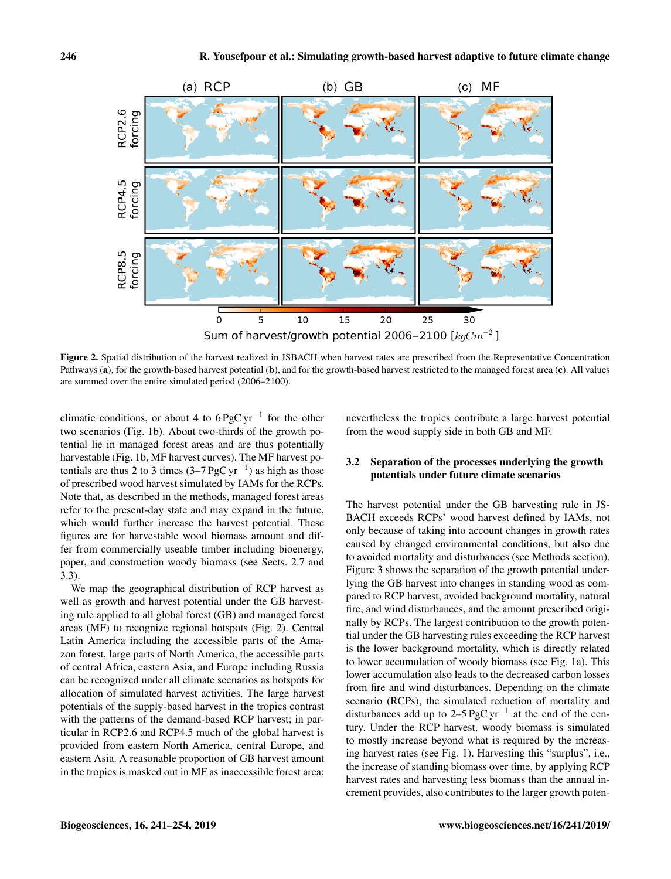

Figure 2. Spatial distribution of the harvest realized in JSBACH when harvest rates are prescribed from the Representative Concentration Pathways (a), for the growth-based harvest potential (b), and for the growth-based harvest restricted to the managed forest area (c). All values are summed over the entire simulated period (2006–2100).

climatic conditions, or about 4 to  $6 \text{PgC yr}^{-1}$  for the other two scenarios (Fig. 1b). About two-thirds of the growth potential lie in managed forest areas and are thus potentially harvestable (Fig. 1b, MF harvest curves). The MF harvest potentials are thus 2 to 3 times  $(3-7 \,\text{PgC yr}^{-1})$  as high as those of prescribed wood harvest simulated by IAMs for the RCPs. Note that, as described in the methods, managed forest areas refer to the present-day state and may expand in the future, which would further increase the harvest potential. These figures are for harvestable wood biomass amount and differ from commercially useable timber including bioenergy, paper, and construction woody biomass (see Sects. 2.7 and 3.3).

We map the geographical distribution of RCP harvest as well as growth and harvest potential under the GB harvesting rule applied to all global forest (GB) and managed forest areas (MF) to recognize regional hotspots (Fig. 2). Central Latin America including the accessible parts of the Amazon forest, large parts of North America, the accessible parts of central Africa, eastern Asia, and Europe including Russia can be recognized under all climate scenarios as hotspots for allocation of simulated harvest activities. The large harvest potentials of the supply-based harvest in the tropics contrast with the patterns of the demand-based RCP harvest; in particular in RCP2.6 and RCP4.5 much of the global harvest is provided from eastern North America, central Europe, and eastern Asia. A reasonable proportion of GB harvest amount in the tropics is masked out in MF as inaccessible forest area; nevertheless the tropics contribute a large harvest potential from the wood supply side in both GB and MF.

# 3.2 Separation of the processes underlying the growth potentials under future climate scenarios

The harvest potential under the GB harvesting rule in JS-BACH exceeds RCPs' wood harvest defined by IAMs, not only because of taking into account changes in growth rates caused by changed environmental conditions, but also due to avoided mortality and disturbances (see Methods section). Figure 3 shows the separation of the growth potential underlying the GB harvest into changes in standing wood as compared to RCP harvest, avoided background mortality, natural fire, and wind disturbances, and the amount prescribed originally by RCPs. The largest contribution to the growth potential under the GB harvesting rules exceeding the RCP harvest is the lower background mortality, which is directly related to lower accumulation of woody biomass (see Fig. 1a). This lower accumulation also leads to the decreased carbon losses from fire and wind disturbances. Depending on the climate scenario (RCPs), the simulated reduction of mortality and disturbances add up to  $2-5$  PgC yr<sup>-1</sup> at the end of the century. Under the RCP harvest, woody biomass is simulated to mostly increase beyond what is required by the increasing harvest rates (see Fig. 1). Harvesting this "surplus", i.e., the increase of standing biomass over time, by applying RCP harvest rates and harvesting less biomass than the annual increment provides, also contributes to the larger growth poten-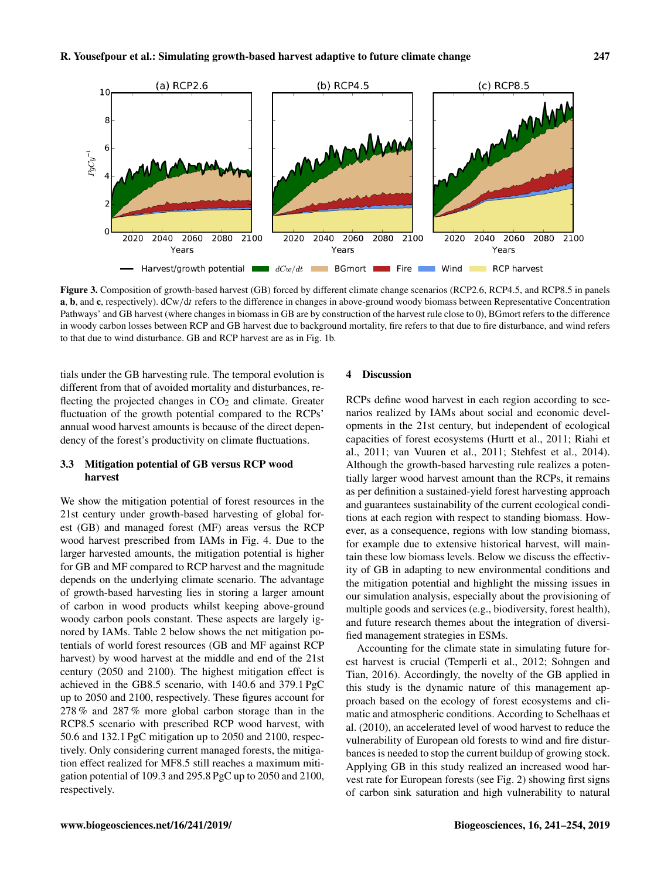

Figure 3. Composition of growth-based harvest (GB) forced by different climate change scenarios (RCP2.6, RCP4.5, and RCP8.5 in panels a, b, and c, respectively). dCw/dt refers to the difference in changes in above-ground woody biomass between Representative Concentration Pathways' and GB harvest (where changes in biomass in GB are by construction of the harvest rule close to 0), BGmort refers to the difference in woody carbon losses between RCP and GB harvest due to background mortality, fire refers to that due to fire disturbance, and wind refers to that due to wind disturbance. GB and RCP harvest are as in Fig. 1b.

tials under the GB harvesting rule. The temporal evolution is different from that of avoided mortality and disturbances, reflecting the projected changes in  $CO<sub>2</sub>$  and climate. Greater fluctuation of the growth potential compared to the RCPs' annual wood harvest amounts is because of the direct dependency of the forest's productivity on climate fluctuations.

# 3.3 Mitigation potential of GB versus RCP wood harvest

We show the mitigation potential of forest resources in the 21st century under growth-based harvesting of global forest (GB) and managed forest (MF) areas versus the RCP wood harvest prescribed from IAMs in Fig. 4. Due to the larger harvested amounts, the mitigation potential is higher for GB and MF compared to RCP harvest and the magnitude depends on the underlying climate scenario. The advantage of growth-based harvesting lies in storing a larger amount of carbon in wood products whilst keeping above-ground woody carbon pools constant. These aspects are largely ignored by IAMs. Table 2 below shows the net mitigation potentials of world forest resources (GB and MF against RCP harvest) by wood harvest at the middle and end of the 21st century (2050 and 2100). The highest mitigation effect is achieved in the GB8.5 scenario, with 140.6 and 379.1 PgC up to 2050 and 2100, respectively. These figures account for 278 % and 287 % more global carbon storage than in the RCP8.5 scenario with prescribed RCP wood harvest, with 50.6 and 132.1 PgC mitigation up to 2050 and 2100, respectively. Only considering current managed forests, the mitigation effect realized for MF8.5 still reaches a maximum mitigation potential of 109.3 and 295.8 PgC up to 2050 and 2100, respectively.

### 4 Discussion

RCPs define wood harvest in each region according to scenarios realized by IAMs about social and economic developments in the 21st century, but independent of ecological capacities of forest ecosystems (Hurtt et al., 2011; Riahi et al., 2011; van Vuuren et al., 2011; Stehfest et al., 2014). Although the growth-based harvesting rule realizes a potentially larger wood harvest amount than the RCPs, it remains as per definition a sustained-yield forest harvesting approach and guarantees sustainability of the current ecological conditions at each region with respect to standing biomass. However, as a consequence, regions with low standing biomass, for example due to extensive historical harvest, will maintain these low biomass levels. Below we discuss the effectivity of GB in adapting to new environmental conditions and the mitigation potential and highlight the missing issues in our simulation analysis, especially about the provisioning of multiple goods and services (e.g., biodiversity, forest health), and future research themes about the integration of diversified management strategies in ESMs.

Accounting for the climate state in simulating future forest harvest is crucial (Temperli et al., 2012; Sohngen and Tian, 2016). Accordingly, the novelty of the GB applied in this study is the dynamic nature of this management approach based on the ecology of forest ecosystems and climatic and atmospheric conditions. According to Schelhaas et al. (2010), an accelerated level of wood harvest to reduce the vulnerability of European old forests to wind and fire disturbances is needed to stop the current buildup of growing stock. Applying GB in this study realized an increased wood harvest rate for European forests (see Fig. 2) showing first signs of carbon sink saturation and high vulnerability to natural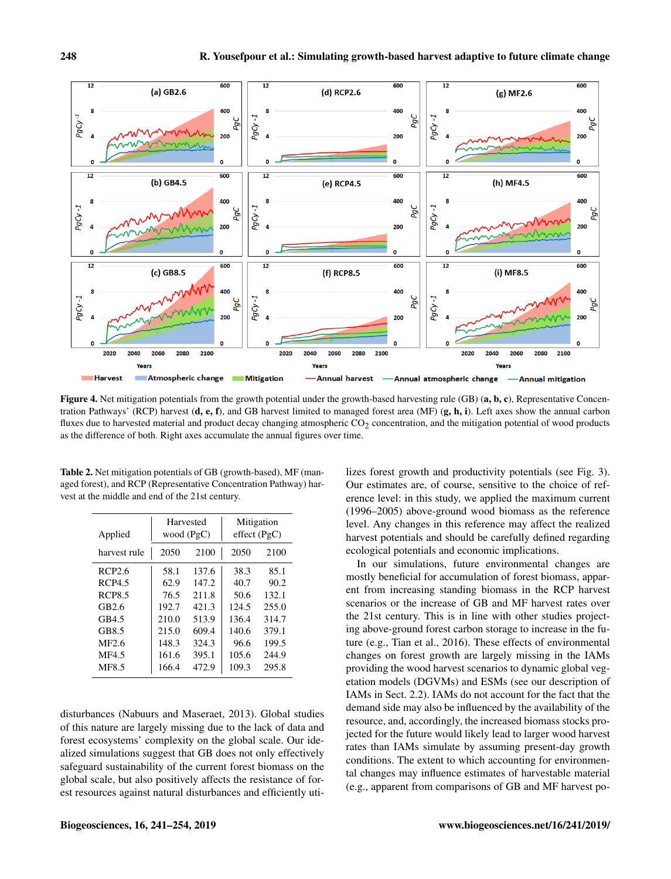

Figure 4. Net mitigation potentials from the growth potential under the growth-based harvesting rule  $(GB)$  (a, b, c), Representative Concentration Pathways' (RCP) harvest  $(d, e, f)$ , and GB harvest limited to managed forest area (MF)  $(g, h, i)$ . Left axes show the annual carbon fluxes due to harvested material and product decay changing atmospheric  $CO<sub>2</sub>$  concentration, and the mitigation potential of wood products as the difference of both. Right axes accumulate the annual figures over time.

| Applied           | Harvested<br>wood $(PgC)$ |       | Mitigation<br>effect (PgC) |       |
|-------------------|---------------------------|-------|----------------------------|-------|
| harvest rule      | 2050                      | 2100  | 2050                       | 2100  |
| RCP2.6            | 58.1                      | 137.6 | 38.3                       | 85.1  |
| RCP4.5            | 62.9                      | 147.2 | 40.7                       | 90.2  |
| RCP8.5            | 76.5                      | 211.8 | 50.6                       | 132.1 |
| GB2.6             | 192.7                     | 421.3 | 124.5                      | 255.0 |
| GB4.5             | 210.0                     | 513.9 | 136.4                      | 314.7 |
| GB8.5             | 215.0                     | 609.4 | 140.6                      | 379.1 |
| MF <sub>2.6</sub> | 148.3                     | 324.3 | 96.6                       | 199.5 |
| MF4.5             | 161.6                     | 395.1 | 105.6                      | 244.9 |
| MF8.5             | 166.4                     | 472.9 | 109.3                      | 295.8 |

Table 2. Net mitigation potentials of GB (growth-based), MF (managed forest), and RCP (Representative Concentration Pathway) harvest at the middle and end of the 21st century.

disturbances (Nabuurs and Maseraet, 2013). Global studies of this nature are largely missing due to the lack of data and forest ecosystems' complexity on the global scale. Our idealized simulations suggest that GB does not only effectively safeguard sustainability of the current forest biomass on the global scale, but also positively affects the resistance of forest resources against natural disturbances and efficiently utilizes forest growth and productivity potentials (see Fig. 3). Our estimates are, of course, sensitive to the choice of reference level: in this study, we applied the maximum current (1996–2005) above-ground wood biomass as the reference level. Any changes in this reference may affect the realized harvest potentials and should be carefully defined regarding ecological potentials and economic implications.

In our simulations, future environmental changes are mostly beneficial for accumulation of forest biomass, apparent from increasing standing biomass in the RCP harvest scenarios or the increase of GB and MF harvest rates over the 21st century. This is in line with other studies projecting above-ground forest carbon storage to increase in the future (e.g., Tian et al., 2016). These effects of environmental changes on forest growth are largely missing in the IAMs providing the wood harvest scenarios to dynamic global vegetation models (DGVMs) and ESMs (see our description of IAMs in Sect. 2.2). IAMs do not account for the fact that the demand side may also be influenced by the availability of the resource, and, accordingly, the increased biomass stocks projected for the future would likely lead to larger wood harvest rates than IAMs simulate by assuming present-day growth conditions. The extent to which accounting for environmental changes may influence estimates of harvestable material (e.g., apparent from comparisons of GB and MF harvest po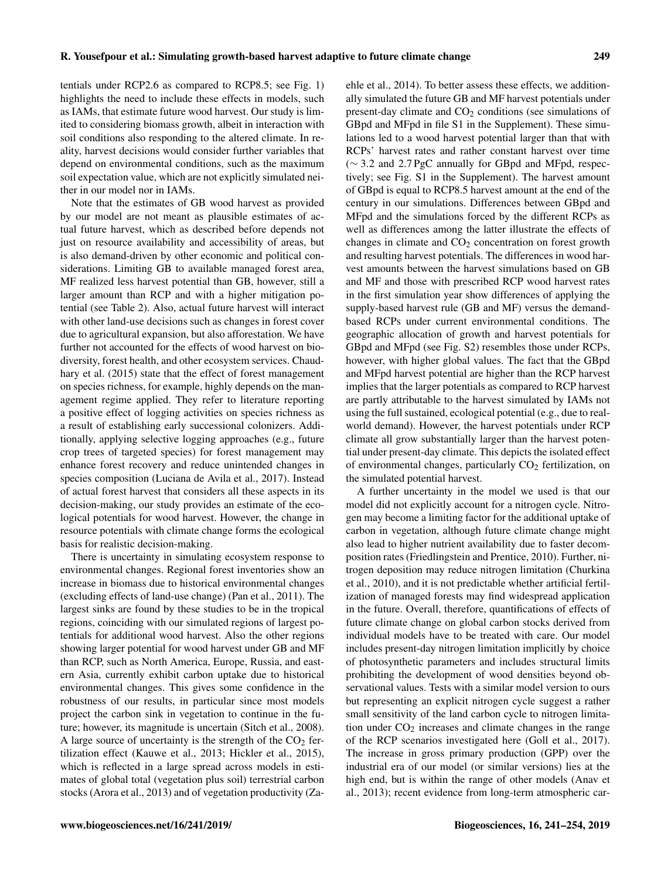tentials under RCP2.6 as compared to RCP8.5; see Fig. 1) highlights the need to include these effects in models, such as IAMs, that estimate future wood harvest. Our study is limited to considering biomass growth, albeit in interaction with soil conditions also responding to the altered climate. In reality, harvest decisions would consider further variables that depend on environmental conditions, such as the maximum soil expectation value, which are not explicitly simulated neither in our model nor in IAMs.

Note that the estimates of GB wood harvest as provided by our model are not meant as plausible estimates of actual future harvest, which as described before depends not just on resource availability and accessibility of areas, but is also demand-driven by other economic and political considerations. Limiting GB to available managed forest area, MF realized less harvest potential than GB, however, still a larger amount than RCP and with a higher mitigation potential (see Table 2). Also, actual future harvest will interact with other land-use decisions such as changes in forest cover due to agricultural expansion, but also afforestation. We have further not accounted for the effects of wood harvest on biodiversity, forest health, and other ecosystem services. Chaudhary et al. (2015) state that the effect of forest management on species richness, for example, highly depends on the management regime applied. They refer to literature reporting a positive effect of logging activities on species richness as a result of establishing early successional colonizers. Additionally, applying selective logging approaches (e.g., future crop trees of targeted species) for forest management may enhance forest recovery and reduce unintended changes in species composition (Luciana de Avila et al., 2017). Instead of actual forest harvest that considers all these aspects in its decision-making, our study provides an estimate of the ecological potentials for wood harvest. However, the change in resource potentials with climate change forms the ecological basis for realistic decision-making.

There is uncertainty in simulating ecosystem response to environmental changes. Regional forest inventories show an increase in biomass due to historical environmental changes (excluding effects of land-use change) (Pan et al., 2011). The largest sinks are found by these studies to be in the tropical regions, coinciding with our simulated regions of largest potentials for additional wood harvest. Also the other regions showing larger potential for wood harvest under GB and MF than RCP, such as North America, Europe, Russia, and eastern Asia, currently exhibit carbon uptake due to historical environmental changes. This gives some confidence in the robustness of our results, in particular since most models project the carbon sink in vegetation to continue in the future; however, its magnitude is uncertain (Sitch et al., 2008). A large source of uncertainty is the strength of the  $CO<sub>2</sub>$  fertilization effect (Kauwe et al., 2013; Hickler et al., 2015), which is reflected in a large spread across models in estimates of global total (vegetation plus soil) terrestrial carbon stocks (Arora et al., 2013) and of vegetation productivity (Zaehle et al., 2014). To better assess these effects, we additionally simulated the future GB and MF harvest potentials under present-day climate and  $CO<sub>2</sub>$  conditions (see simulations of GBpd and MFpd in file S1 in the Supplement). These simulations led to a wood harvest potential larger than that with RCPs' harvest rates and rather constant harvest over time (∼ 3.2 and 2.7 PgC annually for GBpd and MFpd, respectively; see Fig. S1 in the Supplement). The harvest amount of GBpd is equal to RCP8.5 harvest amount at the end of the century in our simulations. Differences between GBpd and MFpd and the simulations forced by the different RCPs as well as differences among the latter illustrate the effects of changes in climate and  $CO<sub>2</sub>$  concentration on forest growth and resulting harvest potentials. The differences in wood harvest amounts between the harvest simulations based on GB and MF and those with prescribed RCP wood harvest rates in the first simulation year show differences of applying the supply-based harvest rule (GB and MF) versus the demandbased RCPs under current environmental conditions. The geographic allocation of growth and harvest potentials for GBpd and MFpd (see Fig. S2) resembles those under RCPs, however, with higher global values. The fact that the GBpd and MFpd harvest potential are higher than the RCP harvest implies that the larger potentials as compared to RCP harvest are partly attributable to the harvest simulated by IAMs not using the full sustained, ecological potential (e.g., due to realworld demand). However, the harvest potentials under RCP climate all grow substantially larger than the harvest potential under present-day climate. This depicts the isolated effect of environmental changes, particularly  $CO<sub>2</sub>$  fertilization, on the simulated potential harvest.

A further uncertainty in the model we used is that our model did not explicitly account for a nitrogen cycle. Nitrogen may become a limiting factor for the additional uptake of carbon in vegetation, although future climate change might also lead to higher nutrient availability due to faster decomposition rates (Friedlingstein and Prentice, 2010). Further, nitrogen deposition may reduce nitrogen limitation (Churkina et al., 2010), and it is not predictable whether artificial fertilization of managed forests may find widespread application in the future. Overall, therefore, quantifications of effects of future climate change on global carbon stocks derived from individual models have to be treated with care. Our model includes present-day nitrogen limitation implicitly by choice of photosynthetic parameters and includes structural limits prohibiting the development of wood densities beyond observational values. Tests with a similar model version to ours but representing an explicit nitrogen cycle suggest a rather small sensitivity of the land carbon cycle to nitrogen limitation under  $CO<sub>2</sub>$  increases and climate changes in the range of the RCP scenarios investigated here (Goll et al., 2017). The increase in gross primary production (GPP) over the industrial era of our model (or similar versions) lies at the high end, but is within the range of other models (Anav et al., 2013); recent evidence from long-term atmospheric car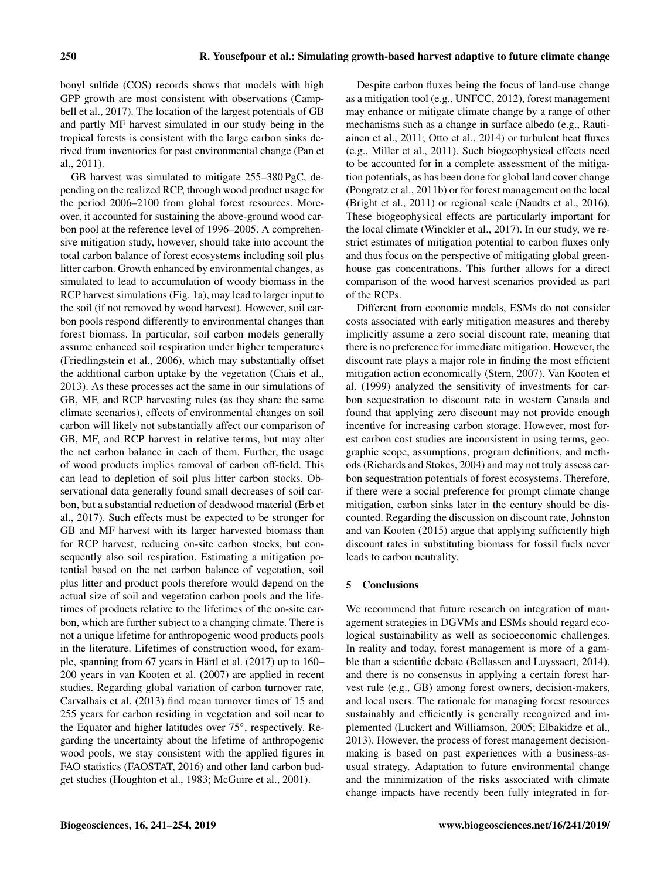bonyl sulfide (COS) records shows that models with high GPP growth are most consistent with observations (Campbell et al., 2017). The location of the largest potentials of GB and partly MF harvest simulated in our study being in the tropical forests is consistent with the large carbon sinks derived from inventories for past environmental change (Pan et al., 2011).

GB harvest was simulated to mitigate 255–380 PgC, depending on the realized RCP, through wood product usage for the period 2006–2100 from global forest resources. Moreover, it accounted for sustaining the above-ground wood carbon pool at the reference level of 1996–2005. A comprehensive mitigation study, however, should take into account the total carbon balance of forest ecosystems including soil plus litter carbon. Growth enhanced by environmental changes, as simulated to lead to accumulation of woody biomass in the RCP harvest simulations (Fig. 1a), may lead to larger input to the soil (if not removed by wood harvest). However, soil carbon pools respond differently to environmental changes than forest biomass. In particular, soil carbon models generally assume enhanced soil respiration under higher temperatures (Friedlingstein et al., 2006), which may substantially offset the additional carbon uptake by the vegetation (Ciais et al., 2013). As these processes act the same in our simulations of GB, MF, and RCP harvesting rules (as they share the same climate scenarios), effects of environmental changes on soil carbon will likely not substantially affect our comparison of GB, MF, and RCP harvest in relative terms, but may alter the net carbon balance in each of them. Further, the usage of wood products implies removal of carbon off-field. This can lead to depletion of soil plus litter carbon stocks. Observational data generally found small decreases of soil carbon, but a substantial reduction of deadwood material (Erb et al., 2017). Such effects must be expected to be stronger for GB and MF harvest with its larger harvested biomass than for RCP harvest, reducing on-site carbon stocks, but consequently also soil respiration. Estimating a mitigation potential based on the net carbon balance of vegetation, soil plus litter and product pools therefore would depend on the actual size of soil and vegetation carbon pools and the lifetimes of products relative to the lifetimes of the on-site carbon, which are further subject to a changing climate. There is not a unique lifetime for anthropogenic wood products pools in the literature. Lifetimes of construction wood, for example, spanning from 67 years in Härtl et al. (2017) up to 160– 200 years in van Kooten et al. (2007) are applied in recent studies. Regarding global variation of carbon turnover rate, Carvalhais et al. (2013) find mean turnover times of 15 and 255 years for carbon residing in vegetation and soil near to the Equator and higher latitudes over 75◦ , respectively. Regarding the uncertainty about the lifetime of anthropogenic wood pools, we stay consistent with the applied figures in FAO statistics (FAOSTAT, 2016) and other land carbon budget studies (Houghton et al., 1983; McGuire et al., 2001).

Despite carbon fluxes being the focus of land-use change as a mitigation tool (e.g., UNFCC, 2012), forest management may enhance or mitigate climate change by a range of other mechanisms such as a change in surface albedo (e.g., Rautiainen et al., 2011; Otto et al., 2014) or turbulent heat fluxes (e.g., Miller et al., 2011). Such biogeophysical effects need to be accounted for in a complete assessment of the mitigation potentials, as has been done for global land cover change (Pongratz et al., 2011b) or for forest management on the local (Bright et al., 2011) or regional scale (Naudts et al., 2016). These biogeophysical effects are particularly important for the local climate (Winckler et al., 2017). In our study, we restrict estimates of mitigation potential to carbon fluxes only and thus focus on the perspective of mitigating global greenhouse gas concentrations. This further allows for a direct comparison of the wood harvest scenarios provided as part of the RCPs.

Different from economic models, ESMs do not consider costs associated with early mitigation measures and thereby implicitly assume a zero social discount rate, meaning that there is no preference for immediate mitigation. However, the discount rate plays a major role in finding the most efficient mitigation action economically (Stern, 2007). Van Kooten et al. (1999) analyzed the sensitivity of investments for carbon sequestration to discount rate in western Canada and found that applying zero discount may not provide enough incentive for increasing carbon storage. However, most forest carbon cost studies are inconsistent in using terms, geographic scope, assumptions, program definitions, and methods (Richards and Stokes, 2004) and may not truly assess carbon sequestration potentials of forest ecosystems. Therefore, if there were a social preference for prompt climate change mitigation, carbon sinks later in the century should be discounted. Regarding the discussion on discount rate, Johnston and van Kooten (2015) argue that applying sufficiently high discount rates in substituting biomass for fossil fuels never leads to carbon neutrality.

#### 5 Conclusions

We recommend that future research on integration of management strategies in DGVMs and ESMs should regard ecological sustainability as well as socioeconomic challenges. In reality and today, forest management is more of a gamble than a scientific debate (Bellassen and Luyssaert, 2014), and there is no consensus in applying a certain forest harvest rule (e.g., GB) among forest owners, decision-makers, and local users. The rationale for managing forest resources sustainably and efficiently is generally recognized and implemented (Luckert and Williamson, 2005; Elbakidze et al., 2013). However, the process of forest management decisionmaking is based on past experiences with a business-asusual strategy. Adaptation to future environmental change and the minimization of the risks associated with climate change impacts have recently been fully integrated in for-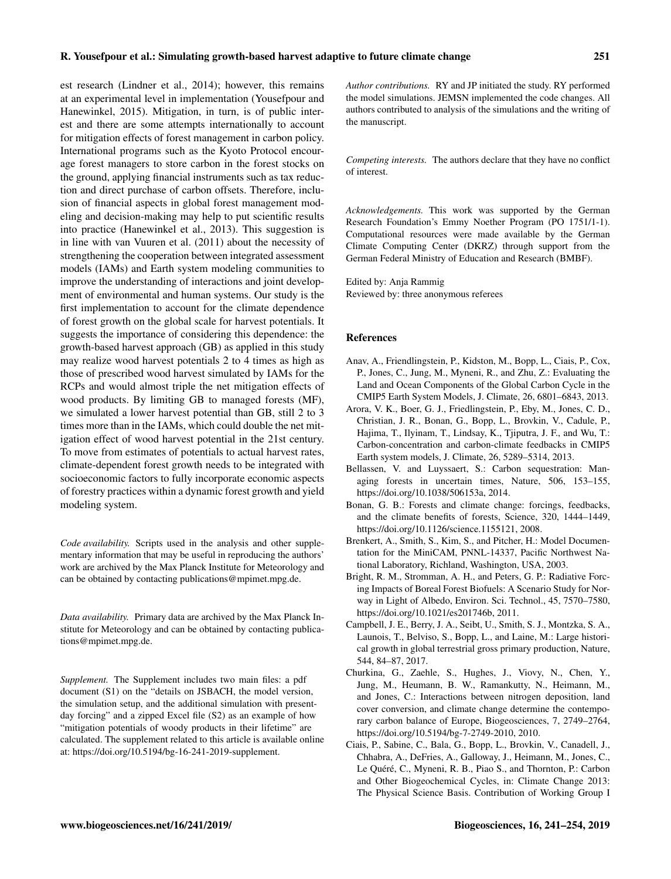# R. Yousefpour et al.: Simulating growth-based harvest adaptive to future climate change 251

est research (Lindner et al., 2014); however, this remains at an experimental level in implementation (Yousefpour and Hanewinkel, 2015). Mitigation, in turn, is of public interest and there are some attempts internationally to account for mitigation effects of forest management in carbon policy. International programs such as the Kyoto Protocol encourage forest managers to store carbon in the forest stocks on the ground, applying financial instruments such as tax reduction and direct purchase of carbon offsets. Therefore, inclusion of financial aspects in global forest management modeling and decision-making may help to put scientific results into practice (Hanewinkel et al., 2013). This suggestion is in line with van Vuuren et al. (2011) about the necessity of strengthening the cooperation between integrated assessment models (IAMs) and Earth system modeling communities to improve the understanding of interactions and joint development of environmental and human systems. Our study is the first implementation to account for the climate dependence of forest growth on the global scale for harvest potentials. It suggests the importance of considering this dependence: the growth-based harvest approach (GB) as applied in this study may realize wood harvest potentials 2 to 4 times as high as those of prescribed wood harvest simulated by IAMs for the RCPs and would almost triple the net mitigation effects of wood products. By limiting GB to managed forests (MF), we simulated a lower harvest potential than GB, still 2 to 3 times more than in the IAMs, which could double the net mitigation effect of wood harvest potential in the 21st century. To move from estimates of potentials to actual harvest rates, climate-dependent forest growth needs to be integrated with socioeconomic factors to fully incorporate economic aspects of forestry practices within a dynamic forest growth and yield modeling system.

*Code availability.* Scripts used in the analysis and other supplementary information that may be useful in reproducing the authors' work are archived by the Max Planck Institute for Meteorology and can be obtained by contacting publications@mpimet.mpg.de.

*Data availability.* Primary data are archived by the Max Planck Institute for Meteorology and can be obtained by contacting publications@mpimet.mpg.de.

*Supplement.* The Supplement includes two main files: a pdf document (S1) on the "details on JSBACH, the model version, the simulation setup, and the additional simulation with presentday forcing" and a zipped Excel file (S2) as an example of how "mitigation potentials of woody products in their lifetime" are calculated. The supplement related to this article is available online at: [https://doi.org/10.5194/bg-16-241-2019-supplement.](https://doi.org/10.5194/bg-16-241-2019-supplement)

*Author contributions.* RY and JP initiated the study. RY performed the model simulations. JEMSN implemented the code changes. All authors contributed to analysis of the simulations and the writing of the manuscript.

*Competing interests.* The authors declare that they have no conflict of interest.

*Acknowledgements.* This work was supported by the German Research Foundation's Emmy Noether Program (PO 1751/1-1). Computational resources were made available by the German Climate Computing Center (DKRZ) through support from the German Federal Ministry of Education and Research (BMBF).

Edited by: Anja Rammig Reviewed by: three anonymous referees

#### References

- Anav, A., Friendlingstein, P., Kidston, M., Bopp, L., Ciais, P., Cox, P., Jones, C., Jung, M., Myneni, R., and Zhu, Z.: Evaluating the Land and Ocean Components of the Global Carbon Cycle in the CMIP5 Earth System Models, J. Climate, 26, 6801–6843, 2013.
- Arora, V. K., Boer, G. J., Friedlingstein, P., Eby, M., Jones, C. D., Christian, J. R., Bonan, G., Bopp, L., Brovkin, V., Cadule, P., Hajima, T., Ilyinam, T., Lindsay, K., Tjiputra, J. F., and Wu, T.: Carbon-concentration and carbon-climate feedbacks in CMIP5 Earth system models, J. Climate, 26, 5289–5314, 2013.
- Bellassen, V. and Luyssaert, S.: Carbon sequestration: Managing forests in uncertain times, Nature, 506, 153–155, https://doi.org[/10.1038/506153a,](https://doi.org/10.1038/506153a) 2014.
- Bonan, G. B.: Forests and climate change: forcings, feedbacks, and the climate benefits of forests, Science, 320, 1444–1449, https://doi.org[/10.1126/science.1155121,](https://doi.org/10.1126/science.1155121) 2008.
- Brenkert, A., Smith, S., Kim, S., and Pitcher, H.: Model Documentation for the MiniCAM, PNNL-14337, Pacific Northwest National Laboratory, Richland, Washington, USA, 2003.
- Bright, R. M., Stromman, A. H., and Peters, G. P.: Radiative Forcing Impacts of Boreal Forest Biofuels: A Scenario Study for Norway in Light of Albedo, Environ. Sci. Technol., 45, 7570–7580, https://doi.org[/10.1021/es201746b,](https://doi.org/10.1021/es201746b) 2011.
- Campbell, J. E., Berry, J. A., Seibt, U., Smith, S. J., Montzka, S. A., Launois, T., Belviso, S., Bopp, L., and Laine, M.: Large historical growth in global terrestrial gross primary production, Nature, 544, 84–87, 2017.
- Churkina, G., Zaehle, S., Hughes, J., Viovy, N., Chen, Y., Jung, M., Heumann, B. W., Ramankutty, N., Heimann, M., and Jones, C.: Interactions between nitrogen deposition, land cover conversion, and climate change determine the contemporary carbon balance of Europe, Biogeosciences, 7, 2749–2764, https://doi.org[/10.5194/bg-7-2749-2010,](https://doi.org/10.5194/bg-7-2749-2010) 2010.
- Ciais, P., Sabine, C., Bala, G., Bopp, L., Brovkin, V., Canadell, J., Chhabra, A., DeFries, A., Galloway, J., Heimann, M., Jones, C., Le Quéré, C., Myneni, R. B., Piao S., and Thornton, P.: Carbon and Other Biogeochemical Cycles, in: Climate Change 2013: The Physical Science Basis. Contribution of Working Group I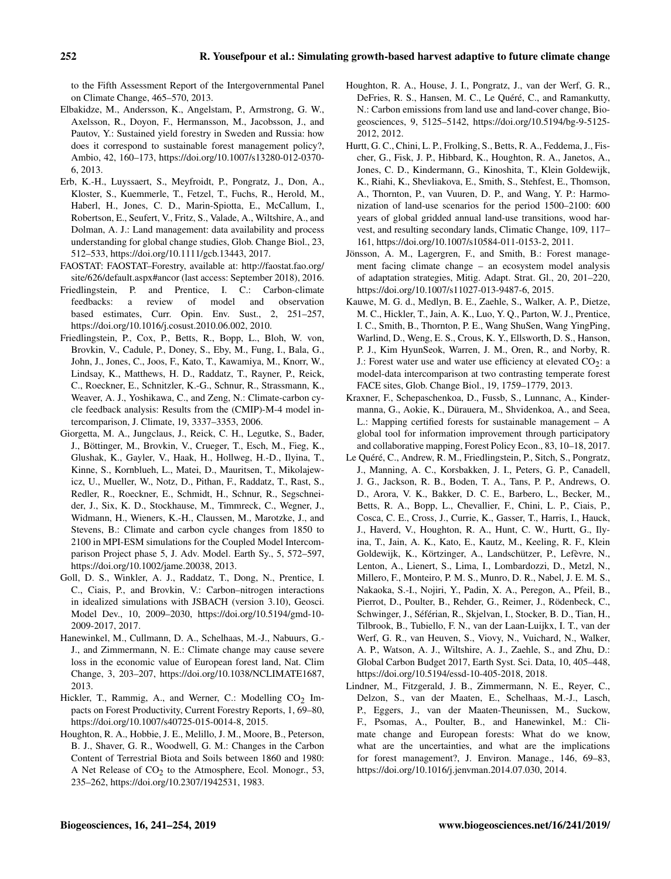to the Fifth Assessment Report of the Intergovernmental Panel on Climate Change, 465–570, 2013.

- Elbakidze, M., Andersson, K., Angelstam, P., Armstrong, G. W., Axelsson, R., Doyon, F., Hermansson, M., Jacobsson, J., and Pautov, Y.: Sustained yield forestry in Sweden and Russia: how does it correspond to sustainable forest management policy?, Ambio, 42, 160–173, https://doi.org[/10.1007/s13280-012-0370-](https://doi.org/10.1007/s13280-012-0370-6) [6,](https://doi.org/10.1007/s13280-012-0370-6) 2013.
- Erb, K.-H., Luyssaert, S., Meyfroidt, P., Pongratz, J., Don, A., Kloster, S., Kuemmerle, T., Fetzel, T., Fuchs, R., Herold, M., Haberl, H., Jones, C. D., Marin-Spiotta, E., McCallum, I., Robertson, E., Seufert, V., Fritz, S., Valade, A., Wiltshire, A., and Dolman, A. J.: Land management: data availability and process understanding for global change studies, Glob. Change Biol., 23, 512–533, https://doi.org[/10.1111/gcb.13443,](https://doi.org/10.1111/gcb.13443) 2017.
- FAOSTAT: FAOSTAT–Forestry, available at: [http://faostat.fao.org/](http://faostat.fao.org/site/626/default.aspx#ancor) [site/626/default.aspx#ancor](http://faostat.fao.org/site/626/default.aspx#ancor) (last access: September 2018), 2016.
- Friedlingstein, P. and Prentice, I. C.: Carbon-climate feedbacks: a review of model and observation based estimates, Curr. Opin. Env. Sust., 2, 251–257, https://doi.org[/10.1016/j.cosust.2010.06.002,](https://doi.org/10.1016/j.cosust.2010.06.002) 2010.
- Friedlingstein, P., Cox, P., Betts, R., Bopp, L., Bloh, W. von, Brovkin, V., Cadule, P., Doney, S., Eby, M., Fung, I., Bala, G., John, J., Jones, C., Joos, F., Kato, T., Kawamiya, M., Knorr, W., Lindsay, K., Matthews, H. D., Raddatz, T., Rayner, P., Reick, C., Roeckner, E., Schnitzler, K.-G., Schnur, R., Strassmann, K., Weaver, A. J., Yoshikawa, C., and Zeng, N.: Climate-carbon cycle feedback analysis: Results from the (CMIP)-M-4 model intercomparison, J. Climate, 19, 3337–3353, 2006.
- Giorgetta, M. A., Jungclaus, J., Reick, C. H., Legutke, S., Bader, J., Böttinger, M., Brovkin, V., Crueger, T., Esch, M., Fieg, K., Glushak, K., Gayler, V., Haak, H., Hollweg, H.-D., Ilyina, T., Kinne, S., Kornblueh, L., Matei, D., Mauritsen, T., Mikolajewicz, U., Mueller, W., Notz, D., Pithan, F., Raddatz, T., Rast, S., Redler, R., Roeckner, E., Schmidt, H., Schnur, R., Segschneider, J., Six, K. D., Stockhause, M., Timmreck, C., Wegner, J., Widmann, H., Wieners, K.-H., Claussen, M., Marotzke, J., and Stevens, B.: Climate and carbon cycle changes from 1850 to 2100 in MPI-ESM simulations for the Coupled Model Intercomparison Project phase 5, J. Adv. Model. Earth Sy., 5, 572–597, https://doi.org[/10.1002/jame.20038,](https://doi.org/10.1002/jame.20038) 2013.
- Goll, D. S., Winkler, A. J., Raddatz, T., Dong, N., Prentice, I. C., Ciais, P., and Brovkin, V.: Carbon–nitrogen interactions in idealized simulations with JSBACH (version 3.10), Geosci. Model Dev., 10, 2009–2030, https://doi.org[/10.5194/gmd-10-](https://doi.org/10.5194/gmd-10-2009-2017) [2009-2017,](https://doi.org/10.5194/gmd-10-2009-2017) 2017.
- Hanewinkel, M., Cullmann, D. A., Schelhaas, M.-J., Nabuurs, G.- J., and Zimmermann, N. E.: Climate change may cause severe loss in the economic value of European forest land, Nat. Clim Change, 3, 203–207, https://doi.org[/10.1038/NCLIMATE1687,](https://doi.org/10.1038/NCLIMATE1687) 2013.
- Hickler, T., Rammig, A., and Werner, C.: Modelling  $CO<sub>2</sub>$  Impacts on Forest Productivity, Current Forestry Reports, 1, 69–80, https://doi.org[/10.1007/s40725-015-0014-8,](https://doi.org/10.1007/s40725-015-0014-8) 2015.
- Houghton, R. A., Hobbie, J. E., Melillo, J. M., Moore, B., Peterson, B. J., Shaver, G. R., Woodwell, G. M.: Changes in the Carbon Content of Terrestrial Biota and Soils between 1860 and 1980: A Net Release of  $CO<sub>2</sub>$  to the Atmosphere, Ecol. Monogr., 53, 235–262, https://doi.org[/10.2307/1942531,](https://doi.org/10.2307/1942531) 1983.
- Houghton, R. A., House, J. I., Pongratz, J., van der Werf, G. R., DeFries, R. S., Hansen, M. C., Le Quéré, C., and Ramankutty, N.: Carbon emissions from land use and land-cover change, Biogeosciences, 9, 5125–5142, https://doi.org[/10.5194/bg-9-5125-](https://doi.org/10.5194/bg-9-5125-2012) [2012,](https://doi.org/10.5194/bg-9-5125-2012) 2012.
- Hurtt, G. C., Chini, L. P., Frolking, S., Betts, R. A., Feddema, J., Fischer, G., Fisk, J. P., Hibbard, K., Houghton, R. A., Janetos, A., Jones, C. D., Kindermann, G., Kinoshita, T., Klein Goldewijk, K., Riahi, K., Shevliakova, E., Smith, S., Stehfest, E., Thomson, A., Thornton, P., van Vuuren, D. P., and Wang, Y. P.: Harmonization of land-use scenarios for the period 1500–2100: 600 years of global gridded annual land-use transitions, wood harvest, and resulting secondary lands, Climatic Change, 109, 117– 161, https://doi.org[/10.1007/s10584-011-0153-2,](https://doi.org/10.1007/s10584-011-0153-2) 2011.
- Jönsson, A. M., Lagergren, F., and Smith, B.: Forest management facing climate change – an ecosystem model analysis of adaptation strategies, Mitig. Adapt. Strat. Gl., 20, 201–220, https://doi.org[/10.1007/s11027-013-9487-6,](https://doi.org/10.1007/s11027-013-9487-6) 2015.
- Kauwe, M. G. d., Medlyn, B. E., Zaehle, S., Walker, A. P., Dietze, M. C., Hickler, T., Jain, A. K., Luo, Y. Q., Parton, W. J., Prentice, I. C., Smith, B., Thornton, P. E., Wang ShuSen, Wang YingPing, Warlind, D., Weng, E. S., Crous, K. Y., Ellsworth, D. S., Hanson, P. J., Kim HyunSeok, Warren, J. M., Oren, R., and Norby, R. J.: Forest water use and water use efficiency at elevated  $CO<sub>2</sub>$ : a model-data intercomparison at two contrasting temperate forest FACE sites, Glob. Change Biol., 19, 1759–1779, 2013.
- Kraxner, F., Schepaschenkoa, D., Fussb, S., Lunnanc, A., Kindermanna, G., Aokie, K., Dürauera, M., Shvidenkoa, A., and Seea, L.: Mapping certified forests for sustainable management – A global tool for information improvement through participatory and collaborative mapping, Forest Policy Econ., 83, 10–18, 2017.
- Le Quéré, C., Andrew, R. M., Friedlingstein, P., Sitch, S., Pongratz, J., Manning, A. C., Korsbakken, J. I., Peters, G. P., Canadell, J. G., Jackson, R. B., Boden, T. A., Tans, P. P., Andrews, O. D., Arora, V. K., Bakker, D. C. E., Barbero, L., Becker, M., Betts, R. A., Bopp, L., Chevallier, F., Chini, L. P., Ciais, P., Cosca, C. E., Cross, J., Currie, K., Gasser, T., Harris, I., Hauck, J., Haverd, V., Houghton, R. A., Hunt, C. W., Hurtt, G., Ilyina, T., Jain, A. K., Kato, E., Kautz, M., Keeling, R. F., Klein Goldewijk, K., Körtzinger, A., Landschützer, P., Lefèvre, N., Lenton, A., Lienert, S., Lima, I., Lombardozzi, D., Metzl, N., Millero, F., Monteiro, P. M. S., Munro, D. R., Nabel, J. E. M. S., Nakaoka, S.-I., Nojiri, Y., Padin, X. A., Peregon, A., Pfeil, B., Pierrot, D., Poulter, B., Rehder, G., Reimer, J., Rödenbeck, C., Schwinger, J., Séférian, R., Skjelvan, I., Stocker, B. D., Tian, H., Tilbrook, B., Tubiello, F. N., van der Laan-Luijkx, I. T., van der Werf, G. R., van Heuven, S., Viovy, N., Vuichard, N., Walker, A. P., Watson, A. J., Wiltshire, A. J., Zaehle, S., and Zhu, D.: Global Carbon Budget 2017, Earth Syst. Sci. Data, 10, 405–448, https://doi.org[/10.5194/essd-10-405-2018,](https://doi.org/10.5194/essd-10-405-2018) 2018.
- Lindner, M., Fitzgerald, J. B., Zimmermann, N. E., Reyer, C., Delzon, S., van der Maaten, E., Schelhaas, M.-J., Lasch, P., Eggers, J., van der Maaten-Theunissen, M., Suckow, F., Psomas, A., Poulter, B., and Hanewinkel, M.: Climate change and European forests: What do we know, what are the uncertainties, and what are the implications for forest management?, J. Environ. Manage., 146, 69–83, https://doi.org[/10.1016/j.jenvman.2014.07.030,](https://doi.org/10.1016/j.jenvman.2014.07.030) 2014.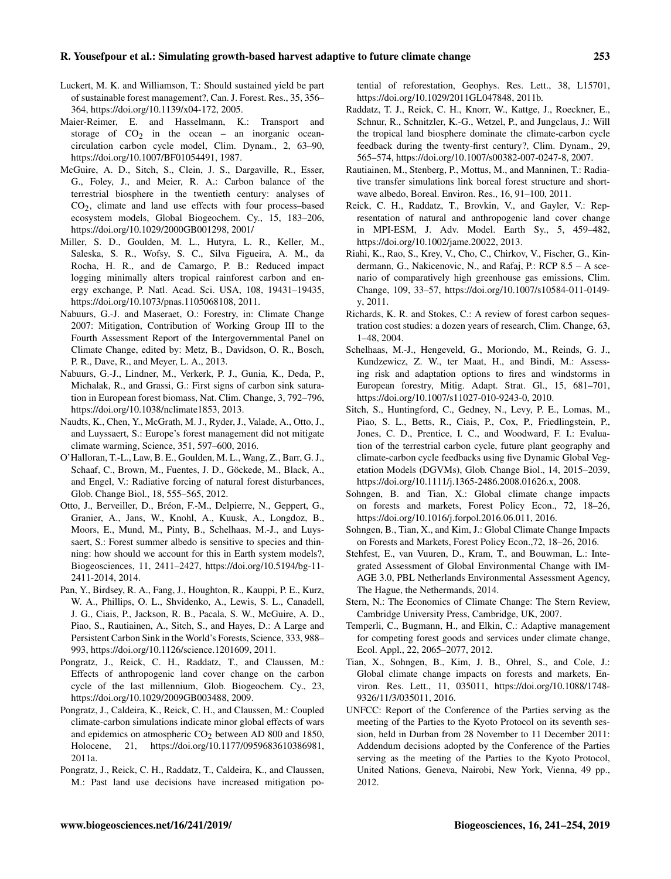#### R. Yousefpour et al.: Simulating growth-based harvest adaptive to future climate change 253

- Luckert, M. K. and Williamson, T.: Should sustained yield be part of sustainable forest management?, Can. J. Forest. Res., 35, 356– 364, https://doi.org[/10.1139/x04-172,](https://doi.org/10.1139/x04-172) 2005.
- Maier-Reimer, E. and Hasselmann, K.: Transport and storage of  $CO<sub>2</sub>$  in the ocean – an inorganic oceancirculation carbon cycle model, Clim. Dynam., 2, 63–90, https://doi.org[/10.1007/BF01054491,](https://doi.org/10.1007/BF01054491) 1987.
- McGuire, A. D., Sitch, S., Clein, J. S., Dargaville, R., Esser, G., Foley, J., and Meier, R. A.: Carbon balance of the terrestrial biosphere in the twentieth century: analyses of CO2, climate and land use effects with four process–based ecosystem models, Global Biogeochem. Cy., 15, 183–206, https://doi.org[/10.1029/2000GB001298,](https://doi.org/10.1029/2000GB001298) 2001/
- Miller, S. D., Goulden, M. L., Hutyra, L. R., Keller, M., Saleska, S. R., Wofsy, S. C., Silva Figueira, A. M., da Rocha, H. R., and de Camargo, P. B.: Reduced impact logging minimally alters tropical rainforest carbon and energy exchange, P. Natl. Acad. Sci. USA, 108, 19431–19435, https://doi.org[/10.1073/pnas.1105068108,](https://doi.org/10.1073/pnas.1105068108) 2011.
- Nabuurs, G.-J. and Maseraet, O.: Forestry, in: Climate Change 2007: Mitigation, Contribution of Working Group III to the Fourth Assessment Report of the Intergovernmental Panel on Climate Change, edited by: Metz, B., Davidson, O. R., Bosch, P. R., Dave, R., and Meyer, L. A., 2013.
- Nabuurs, G.-J., Lindner, M., Verkerk, P. J., Gunia, K., Deda, P., Michalak, R., and Grassi, G.: First signs of carbon sink saturation in European forest biomass, Nat. Clim. Change, 3, 792–796, https://doi.org[/10.1038/nclimate1853,](https://doi.org/10.1038/nclimate1853) 2013.
- Naudts, K., Chen, Y., McGrath, M. J., Ryder, J., Valade, A., Otto, J., and Luyssaert, S.: Europe's forest management did not mitigate climate warming, Science, 351, 597–600, 2016.
- O'Halloran, T.-L., Law, B. E., Goulden, M. L., Wang, Z., Barr, G. J., Schaaf, C., Brown, M., Fuentes, J. D., Göckede, M., Black, A., and Engel, V.: Radiative forcing of natural forest disturbances, Glob. Change Biol., 18, 555–565, 2012.
- Otto, J., Berveiller, D., Bréon, F.-M., Delpierre, N., Geppert, G., Granier, A., Jans, W., Knohl, A., Kuusk, A., Longdoz, B., Moors, E., Mund, M., Pinty, B., Schelhaas, M.-J., and Luyssaert, S.: Forest summer albedo is sensitive to species and thinning: how should we account for this in Earth system models?, Biogeosciences, 11, 2411–2427, https://doi.org[/10.5194/bg-11-](https://doi.org/10.5194/bg-11-2411-2014) [2411-2014,](https://doi.org/10.5194/bg-11-2411-2014) 2014.
- Pan, Y., Birdsey, R. A., Fang, J., Houghton, R., Kauppi, P. E., Kurz, W. A., Phillips, O. L., Shvidenko, A., Lewis, S. L., Canadell, J. G., Ciais, P., Jackson, R. B., Pacala, S. W., McGuire, A. D., Piao, S., Rautiainen, A., Sitch, S., and Hayes, D.: A Large and Persistent Carbon Sink in the World's Forests, Science, 333, 988– 993, https://doi.org[/10.1126/science.1201609,](https://doi.org/10.1126/science.1201609) 2011.
- Pongratz, J., Reick, C. H., Raddatz, T., and Claussen, M.: Effects of anthropogenic land cover change on the carbon cycle of the last millennium, Glob. Biogeochem. Cy., 23, https://doi.org[/10.1029/2009GB003488,](https://doi.org/10.1029/2009GB003488) 2009.
- Pongratz, J., Caldeira, K., Reick, C. H., and Claussen, M.: Coupled climate-carbon simulations indicate minor global effects of wars and epidemics on atmospheric  $CO<sub>2</sub>$  between AD 800 and 1850, Holocene, 21, https://doi.org[/10.1177/0959683610386981,](https://doi.org/10.1177/0959683610386981) 2011a.
- Pongratz, J., Reick, C. H., Raddatz, T., Caldeira, K., and Claussen, M.: Past land use decisions have increased mitigation po-

tential of reforestation, Geophys. Res. Lett., 38, L15701, https://doi.org[/10.1029/2011GL047848,](https://doi.org/10.1029/2011GL047848) 2011b.

- Raddatz, T. J., Reick, C. H., Knorr, W., Kattge, J., Roeckner, E., Schnur, R., Schnitzler, K.-G., Wetzel, P., and Jungclaus, J.: Will the tropical land biosphere dominate the climate-carbon cycle feedback during the twenty-first century?, Clim. Dynam., 29, 565–574, https://doi.org[/10.1007/s00382-007-0247-8,](https://doi.org/10.1007/s00382-007-0247-8) 2007.
- Rautiainen, M., Stenberg, P., Mottus, M., and Manninen, T.: Radiative transfer simulations link boreal forest structure and shortwave albedo, Boreal. Environ. Res., 16, 91–100, 2011.
- Reick, C. H., Raddatz, T., Brovkin, V., and Gayler, V.: Representation of natural and anthropogenic land cover change in MPI-ESM, J. Adv. Model. Earth Sy., 5, 459–482, https://doi.org[/10.1002/jame.20022,](https://doi.org/10.1002/jame.20022) 2013.
- Riahi, K., Rao, S., Krey, V., Cho, C., Chirkov, V., Fischer, G., Kindermann, G., Nakicenovic, N., and Rafaj, P.: RCP 8.5 – A scenario of comparatively high greenhouse gas emissions, Clim. Change, 109, 33–57, https://doi.org[/10.1007/s10584-011-0149](https://doi.org/10.1007/s10584-011-0149-y) [y,](https://doi.org/10.1007/s10584-011-0149-y) 2011.
- Richards, K. R. and Stokes, C.: A review of forest carbon sequestration cost studies: a dozen years of research, Clim. Change, 63, 1–48, 2004.
- Schelhaas, M.-J., Hengeveld, G., Moriondo, M., Reinds, G. J., Kundzewicz, Z. W., ter Maat, H., and Bindi, M.: Assessing risk and adaptation options to fires and windstorms in European forestry, Mitig. Adapt. Strat. Gl., 15, 681–701, https://doi.org[/10.1007/s11027-010-9243-0,](https://doi.org/10.1007/s11027-010-9243-0) 2010.
- Sitch, S., Huntingford, C., Gedney, N., Levy, P. E., Lomas, M., Piao, S. L., Betts, R., Ciais, P., Cox, P., Friedlingstein, P., Jones, C. D., Prentice, I. C., and Woodward, F. I.: Evaluation of the terrestrial carbon cycle, future plant geography and climate-carbon cycle feedbacks using five Dynamic Global Vegetation Models (DGVMs), Glob. Change Biol., 14, 2015–2039, https://doi.org[/10.1111/j.1365-2486.2008.01626.x,](https://doi.org/10.1111/j.1365-2486.2008.01626.x) 2008.
- Sohngen, B. and Tian, X.: Global climate change impacts on forests and markets, Forest Policy Econ., 72, 18–26, https://doi.org[/10.1016/j.forpol.2016.06.011,](https://doi.org/10.1016/j.forpol.2016.06.011) 2016.
- Sohngen, B., Tian, X., and Kim, J.: Global Climate Change Impacts on Forests and Markets, Forest Policy Econ.,72, 18–26, 2016.
- Stehfest, E., van Vuuren, D., Kram, T., and Bouwman, L.: Integrated Assessment of Global Environmental Change with IM-AGE 3.0, PBL Netherlands Environmental Assessment Agency, The Hague, the Nethermands, 2014.
- Stern, N.: The Economics of Climate Change: The Stern Review, Cambridge University Press, Cambridge, UK, 2007.
- Temperli, C., Bugmann, H., and Elkin, C.: Adaptive management for competing forest goods and services under climate change, Ecol. Appl., 22, 2065–2077, 2012.
- Tian, X., Sohngen, B., Kim, J. B., Ohrel, S., and Cole, J.: Global climate change impacts on forests and markets, Environ. Res. Lett., 11, 035011, https://doi.org[/10.1088/1748-](https://doi.org/10.1088/1748-9326/11/3/035011) [9326/11/3/035011,](https://doi.org/10.1088/1748-9326/11/3/035011) 2016.
- UNFCC: Report of the Conference of the Parties serving as the meeting of the Parties to the Kyoto Protocol on its seventh session, held in Durban from 28 November to 11 December 2011: Addendum decisions adopted by the Conference of the Parties serving as the meeting of the Parties to the Kyoto Protocol, United Nations, Geneva, Nairobi, New York, Vienna, 49 pp., 2012.